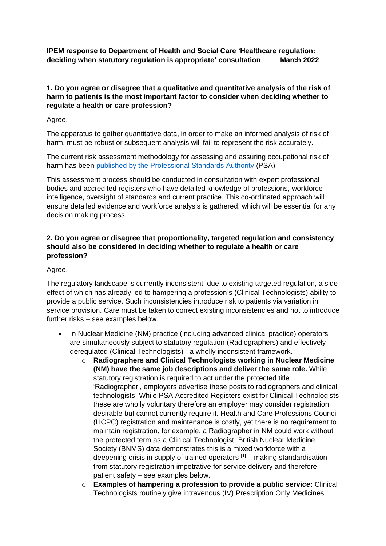**IPEM response to Department of Health and Social Care 'Healthcare regulation: deciding when statutory regulation is appropriate' consultation March 2022**

## **1. Do you agree or disagree that a qualitative and quantitative analysis of the risk of harm to patients is the most important factor to consider when deciding whether to regulate a health or care profession?**

Agree.

The apparatus to gather quantitative data, in order to make an informed analysis of risk of harm, must be robust or subsequent analysis will fail to represent the risk accurately.

The current risk assessment methodology for assessing and assuring occupational risk of harm has been [published by the Professional Standards Authority](https://www.professionalstandards.org.uk/docs/default-source/publications/right-touch-assurance---a-methodology-for-assessing-and-assuring-occupational-risk-of-harm-(october-2016).pdf?sfvrsn=f21a7020_0) (PSA).

This assessment process should be conducted in consultation with expert professional bodies and accredited registers who have detailed knowledge of professions, workforce intelligence, oversight of standards and current practice. This co-ordinated approach will ensure detailed evidence and workforce analysis is gathered, which will be essential for any decision making process.

# **2. Do you agree or disagree that proportionality, targeted regulation and consistency should also be considered in deciding whether to regulate a health or care profession?**

Agree.

The regulatory landscape is currently inconsistent; due to existing targeted regulation, a side effect of which has already led to hampering a profession's (Clinical Technologists) ability to provide a public service. Such inconsistencies introduce risk to patients via variation in service provision. Care must be taken to correct existing inconsistencies and not to introduce further risks – see examples below.

- In Nuclear Medicine (NM) practice (including advanced clinical practice) operators are simultaneously subject to statutory regulation (Radiographers) and effectively deregulated (Clinical Technologists) - a wholly inconsistent framework.
	- o **Radiographers and Clinical Technologists working in Nuclear Medicine (NM) have the same job descriptions and deliver the same role.** While statutory registration is required to act under the protected title 'Radiographer', employers advertise these posts to radiographers and clinical technologists. While PSA Accredited Registers exist for Clinical Technologists these are wholly voluntary therefore an employer may consider registration desirable but cannot currently require it. Health and Care Professions Council (HCPC) registration and maintenance is costly, yet there is no requirement to maintain registration, for example, a Radiographer in NM could work without the protected term as a Clinical Technologist. British Nuclear Medicine Society (BNMS) data demonstrates this is a mixed workforce with a deepening crisis in supply of trained operators  $[1]$  – making standardisation from statutory registration impetrative for service delivery and therefore patient safety – see examples below.
	- o **Examples of hampering a profession to provide a public service:** Clinical Technologists routinely give intravenous (IV) Prescription Only Medicines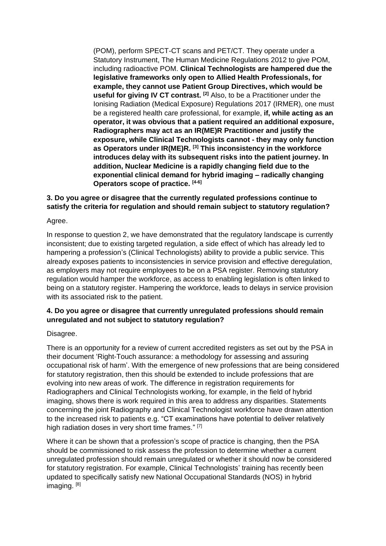(POM), perform SPECT-CT scans and PET/CT. They operate under a Statutory Instrument, The Human Medicine Regulations 2012 to give POM, including radioactive POM. **Clinical Technologists are hampered due the legislative frameworks only open to Allied Health Professionals, for example, they cannot use Patient Group Directives, which would be useful for giving IV CT contrast. [2]** Also, to be a Practitioner under the Ionising Radiation (Medical Exposure) Regulations 2017 (IRMER), one must be a registered health care professional, for example, **if, while acting as an operator, it was obvious that a patient required an additional exposure, Radiographers may act as an IR(ME)R Practitioner and justify the exposure, while Clinical Technologists cannot - they may only function as Operators under IR(ME)R. [3] This inconsistency in the workforce introduces delay with its subsequent risks into the patient journey. In addition, Nuclear Medicine is a rapidly changing field due to the exponential clinical demand for hybrid imaging – radically changing Operators scope of practice. [4-6]**

## **3. Do you agree or disagree that the currently regulated professions continue to satisfy the criteria for regulation and should remain subject to statutory regulation?**

Agree.

In response to question 2, we have demonstrated that the regulatory landscape is currently inconsistent; due to existing targeted regulation, a side effect of which has already led to hampering a profession's (Clinical Technologists) ability to provide a public service. This already exposes patients to inconsistencies in service provision and effective deregulation, as employers may not require employees to be on a PSA register. Removing statutory regulation would hamper the workforce, as access to enabling legislation is often linked to being on a statutory register. Hampering the workforce, leads to delays in service provision with its associated risk to the patient.

# **4. Do you agree or disagree that currently unregulated professions should remain unregulated and not subject to statutory regulation?**

#### Disagree.

There is an opportunity for a review of current accredited registers as set out by the PSA in their document 'Right-Touch assurance: a methodology for assessing and assuring occupational risk of harm'. With the emergence of new professions that are being considered for statutory registration, then this should be extended to include professions that are evolving into new areas of work. The difference in registration requirements for Radiographers and Clinical Technologists working, for example, in the field of hybrid imaging, shows there is work required in this area to address any disparities. Statements concerning the joint Radiography and Clinical Technologist workforce have drawn attention to the increased risk to patients e.g. "CT examinations have potential to deliver relatively high radiation doses in very short time frames." [7]

Where it can be shown that a profession's scope of practice is changing, then the PSA should be commissioned to risk assess the profession to determine whether a current unregulated profession should remain unregulated or whether it should now be considered for statutory registration. For example, Clinical Technologists' training has recently been updated to specifically satisfy new National Occupational Standards (NOS) in hybrid imaging. [8]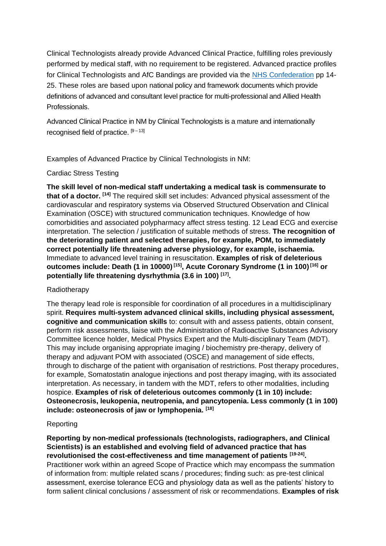Clinical Technologists already provide Advanced Clinical Practice, fulfilling roles previously performed by medical staff, with no requirement to be registered. Advanced practice profiles for Clinical Technologists and AfC Bandings are provided via the NHS Confederation pp 14- 25. These roles are based upon national policy and framework documents which provide definitions of advanced and consultant level practice for multi-professional and Allied Health Professionals.

Advanced Clinical Practice in NM by Clinical Technologists is a mature and internationally recognised field of practice.  $[9-13]$ 

Examples of Advanced Practice by Clinical Technologists in NM:

## Cardiac Stress Testing

**The skill level of non-medical staff undertaking a medical task is commensurate to that of a doctor. [14]** The required skill set includes: Advanced physical assessment of the cardiovascular and respiratory systems via Observed Structured Observation and Clinical Examination (OSCE) with structured communication techniques. Knowledge of how comorbidities and associated polypharmacy affect stress testing. 12 Lead ECG and exercise interpretation. The selection / justification of suitable methods of stress. **The recognition of the deteriorating patient and selected therapies, for example, POM, to immediately correct potentially life threatening adverse physiology, for example, ischaemia.** Immediate to advanced level training in resuscitation. **Examples of risk of deleterious outcomes include: Death (1 in 10000) [15] , Acute Coronary Syndrome (1 in 100) [16] or potentially life threatening dysrhythmia (3.6 in 100) [17] .**

#### Radiotherapy

The therapy lead role is responsible for coordination of all procedures in a multidisciplinary spirit. **Requires multi-system advanced clinical skills, including physical assessment, cognitive and communication skills** to: consult with and assess patients, obtain consent, perform risk assessments, liaise with the Administration of Radioactive Substances Advisory Committee licence holder, Medical Physics Expert and the Multi-disciplinary Team (MDT). This may include organising appropriate imaging / biochemistry pre-therapy, delivery of therapy and adjuvant POM with associated (OSCE) and management of side effects, through to discharge of the patient with organisation of restrictions. Post therapy procedures, for example, Somatostatin analogue injections and post therapy imaging, with its associated interpretation. As necessary, in tandem with the MDT, refers to other modalities, including hospice. **Examples of risk of deleterious outcomes commonly (1 in 10) include: Osteonecrosis, leukopenia, neutropenia, and pancytopenia. Less commonly (1 in 100) include: osteonecrosis of jaw or lymphopenia. [18]**

#### Reporting

**Reporting by non-medical professionals (technologists, radiographers, and Clinical Scientists) is an established and evolving field of advanced practice that has revolutionised the cost-effectiveness and time management of patients [19-24] .** Practitioner work within an agreed Scope of Practice which may encompass the summation of information from: multiple related scans / procedures; finding such: as pre-test clinical assessment, exercise tolerance ECG and physiology data as well as the patients' history to form salient clinical conclusions / assessment of risk or recommendations. **Examples of risk**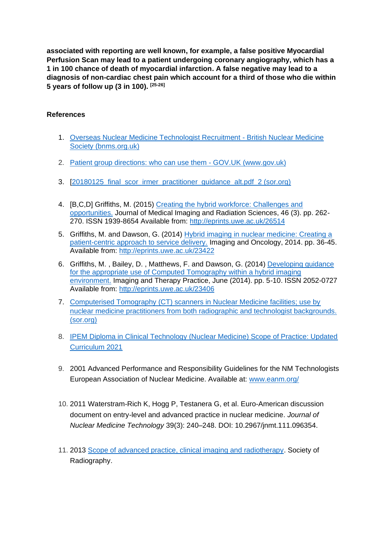**associated with reporting are well known, for example, a false positive Myocardial Perfusion Scan may lead to a patient undergoing coronary angiography, which has a 1 in 100 chance of death of myocardial infarction. A false negative may lead to a diagnosis of non-cardiac chest pain which account for a third of those who die within 5 years of follow up (3 in 100). [25-26]**

## **References**

- 1. [Overseas Nuclear Medicine Technologist Recruitment -](https://www.bnms.org.uk/page/OverseasNuclearMedicineTechnologistRecruitment) British Nuclear Medicine [Society \(bnms.org.uk\)](https://www.bnms.org.uk/page/OverseasNuclearMedicineTechnologistRecruitment)
- 2. [Patient group directions: who can use them -](https://www.gov.uk/government/publications/patient-group-directions-pgds/patient-group-directions-who-can-use-them) GOV.UK (www.gov.uk)
- 3. [20180125\_final\_scor\_irmer\_practitioner\_quidance\_alt.pdf\_2 (sor.org)
- 4. [B,C,D] Griffiths, M. (2015) [Creating the hybrid workforce: Challenges and](http://eprints.uwe.ac.uk/26514/)  [opportunities.](http://eprints.uwe.ac.uk/26514/) Journal of Medical Imaging and Radiation Sciences, 46 (3). pp. 262- 270. ISSN 1939-8654 Available from: [http://eprints.uwe.ac.uk/26514](http://eprints.uwe.ac.uk/26514/)
- 5. Griffiths, M. and Dawson, G. (2014) [Hybrid imaging in nuclear medicine: Creating a](http://eprints.uwe.ac.uk/23422/)  [patient-centric approach to service delivery.](http://eprints.uwe.ac.uk/23422/) Imaging and Oncology, 2014. pp. 36-45. Available from: [http://eprints.uwe.ac.uk/23422](http://eprints.uwe.ac.uk/23422/)
- 6. Griffiths, M. , Bailey, D. , Matthews, F. and Dawson, G. (2014) [Developing guidance](http://eprints.uwe.ac.uk/23406/)  [for the appropriate use of Computed Tomography within a hybrid imaging](http://eprints.uwe.ac.uk/23406/)  [environment.](http://eprints.uwe.ac.uk/23406/) Imaging and Therapy Practice, June (2014). pp. 5-10. ISSN 2052-0727 Available from: [http://eprints.uwe.ac.uk/23406](http://eprints.uwe.ac.uk/23406/)
- 7. [Computerised Tomography \(CT\) scanners in Nuclear Medicine facilities; use by](https://www.sor.org/getmedia/c1a99485-1a80-4cb2-b88a-f41b15ae848d/Computerised%20Tomography%20(CT)%20scanners%20in%20Nuclear%20Medicine%20facilities;%20use%20by%20nuclear%20medicine%20practi_3)  [nuclear medicine practitioners from both radiographic and technologist backgrounds.](https://www.sor.org/getmedia/c1a99485-1a80-4cb2-b88a-f41b15ae848d/Computerised%20Tomography%20(CT)%20scanners%20in%20Nuclear%20Medicine%20facilities;%20use%20by%20nuclear%20medicine%20practi_3)  [\(sor.org\)](https://www.sor.org/getmedia/c1a99485-1a80-4cb2-b88a-f41b15ae848d/Computerised%20Tomography%20(CT)%20scanners%20in%20Nuclear%20Medicine%20facilities;%20use%20by%20nuclear%20medicine%20practi_3)
- 8. [IPEM Diploma in Clinical Technology \(Nuclear Medicine\) Scope of Practice: Updated](https://www.ipem.ac.uk/Portals/0/Documents/Training/Application%20Forms/Nuclear%20Medicine%20updated%20curriculum.pdf?ver=2021-10-19-124512-870)  [Curriculum 2021](https://www.ipem.ac.uk/Portals/0/Documents/Training/Application%20Forms/Nuclear%20Medicine%20updated%20curriculum.pdf?ver=2021-10-19-124512-870)
- 9. 2001 Advanced Performance and Responsibility Guidelines for the NM Technologists European Association of Nuclear Medicine. Available at: [www.eanm.org/](http://www.eanm.org/)
- 10. 2011 Waterstram-Rich K, Hogg P, Testanera G, et al. Euro-American discussion document on entry-level and advanced practice in nuclear medicine. *Journal of Nuclear Medicine Technology* 39(3): 240–248. DOI: 10.2967/jnmt.111.096354.
- 11. 2013 [Scope of advanced practice, clinical imaging and radiotherapy.](https://www.sor.org/getmedia/1a65fad8-f227-46c7-b996-47734d241684/The%20Scope%20of%20Practice%202013_3) Society of Radiography.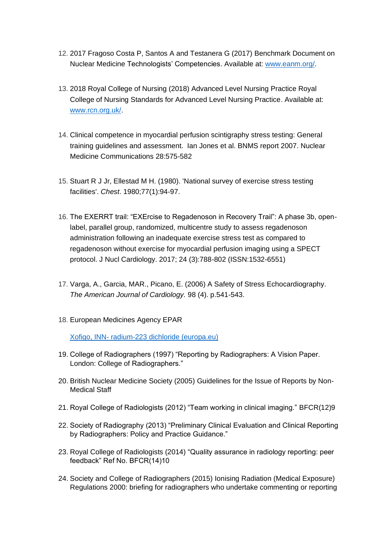- 12. 2017 Fragoso Costa P, Santos A and Testanera G (2017) Benchmark Document on Nuclear Medicine Technologists' Competencies. Available at: [www.eanm.org/.](http://www.eanm.org/)
- 13. 2018 Royal College of Nursing (2018) Advanced Level Nursing Practice Royal College of Nursing Standards for Advanced Level Nursing Practice. Available at: [www.rcn.org.uk/.](http://www.rcn.org.uk/)
- 14. Clinical competence in myocardial perfusion scintigraphy stress testing: General training guidelines and assessment. Ian Jones et al. BNMS report 2007. Nuclear Medicine Communications 28:575-582
- 15. Stuart R J Jr, Ellestad M H. (1980). 'National survey of exercise stress testing facilities'. *Chest*. 1980;77(1):94-97.
- 16. The EXERRT trail: "EXErcise to Regadenoson in Recovery Trail": A phase 3b, openlabel, parallel group, randomized, multicentre study to assess regadenoson administration following an inadequate exercise stress test as compared to regadenoson without exercise for myocardial perfusion imaging using a SPECT protocol. J Nucl Cardiology. 2017; 24 (3):788-802 (ISSN:1532-6551)
- 17. Varga, A., Garcia, MAR., Picano, E. (2006) A Safety of Stress Echocardiography. *The American Journal of Cardiology.* 98 (4). p.541-543.
- 18. European Medicines Agency EPAR

Xofigo, INN- [radium-223 dichloride \(europa.eu\)](https://www.ema.europa.eu/en/documents/product-information/xofigo-epar-product-information_en.pdf)

- 19. College of Radiographers (1997) "Reporting by Radiographers: A Vision Paper. London: College of Radiographers."
- 20. British Nuclear Medicine Society (2005) Guidelines for the Issue of Reports by Non-Medical Staff
- 21. Royal College of Radiologists (2012) "Team working in clinical imaging." BFCR(12)9
- 22. Society of Radiography (2013) "Preliminary Clinical Evaluation and Clinical Reporting by Radiographers: Policy and Practice Guidance."
- 23. Royal College of Radiologists (2014) "Quality assurance in radiology reporting: peer feedback" Ref No. BFCR(14)10
- 24. Society and College of Radiographers (2015) Ionising Radiation (Medical Exposure) Regulations 2000: briefing for radiographers who undertake commenting or reporting